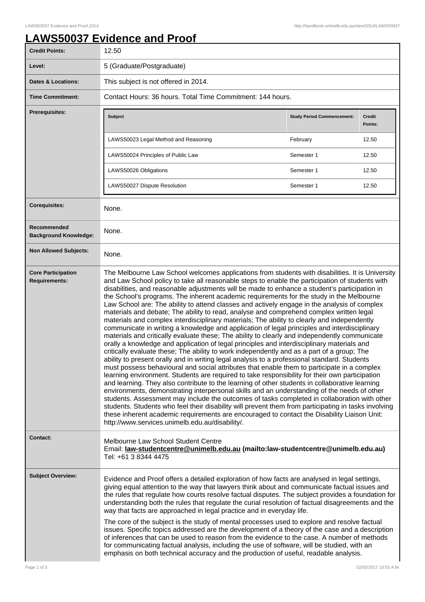## **LAWS50037 Evidence and Proof**

| <b>Credit Points:</b>                             | 12.50                                                                                                                                                                                                                                                                                                                                                                                                                                                                                                                                                                                                                                                                                                                                                                                                                                                                                                                                                                                                                                                                                                                                                                                                                                                                                                                                                                                                                                                                                                                                                                                                                                                                                                                                                                                                                                                                                                                                               |                                   |                          |  |
|---------------------------------------------------|-----------------------------------------------------------------------------------------------------------------------------------------------------------------------------------------------------------------------------------------------------------------------------------------------------------------------------------------------------------------------------------------------------------------------------------------------------------------------------------------------------------------------------------------------------------------------------------------------------------------------------------------------------------------------------------------------------------------------------------------------------------------------------------------------------------------------------------------------------------------------------------------------------------------------------------------------------------------------------------------------------------------------------------------------------------------------------------------------------------------------------------------------------------------------------------------------------------------------------------------------------------------------------------------------------------------------------------------------------------------------------------------------------------------------------------------------------------------------------------------------------------------------------------------------------------------------------------------------------------------------------------------------------------------------------------------------------------------------------------------------------------------------------------------------------------------------------------------------------------------------------------------------------------------------------------------------------|-----------------------------------|--------------------------|--|
| Level:                                            | 5 (Graduate/Postgraduate)                                                                                                                                                                                                                                                                                                                                                                                                                                                                                                                                                                                                                                                                                                                                                                                                                                                                                                                                                                                                                                                                                                                                                                                                                                                                                                                                                                                                                                                                                                                                                                                                                                                                                                                                                                                                                                                                                                                           |                                   |                          |  |
| <b>Dates &amp; Locations:</b>                     | This subject is not offered in 2014.                                                                                                                                                                                                                                                                                                                                                                                                                                                                                                                                                                                                                                                                                                                                                                                                                                                                                                                                                                                                                                                                                                                                                                                                                                                                                                                                                                                                                                                                                                                                                                                                                                                                                                                                                                                                                                                                                                                |                                   |                          |  |
| <b>Time Commitment:</b>                           | Contact Hours: 36 hours. Total Time Commitment: 144 hours.                                                                                                                                                                                                                                                                                                                                                                                                                                                                                                                                                                                                                                                                                                                                                                                                                                                                                                                                                                                                                                                                                                                                                                                                                                                                                                                                                                                                                                                                                                                                                                                                                                                                                                                                                                                                                                                                                          |                                   |                          |  |
| <b>Prerequisites:</b>                             | <b>Subject</b>                                                                                                                                                                                                                                                                                                                                                                                                                                                                                                                                                                                                                                                                                                                                                                                                                                                                                                                                                                                                                                                                                                                                                                                                                                                                                                                                                                                                                                                                                                                                                                                                                                                                                                                                                                                                                                                                                                                                      | <b>Study Period Commencement:</b> | <b>Credit</b><br>Points: |  |
|                                                   | LAWS50023 Legal Method and Reasoning                                                                                                                                                                                                                                                                                                                                                                                                                                                                                                                                                                                                                                                                                                                                                                                                                                                                                                                                                                                                                                                                                                                                                                                                                                                                                                                                                                                                                                                                                                                                                                                                                                                                                                                                                                                                                                                                                                                | February                          | 12.50                    |  |
|                                                   | LAWS50024 Principles of Public Law                                                                                                                                                                                                                                                                                                                                                                                                                                                                                                                                                                                                                                                                                                                                                                                                                                                                                                                                                                                                                                                                                                                                                                                                                                                                                                                                                                                                                                                                                                                                                                                                                                                                                                                                                                                                                                                                                                                  | Semester 1                        | 12.50                    |  |
|                                                   | LAWS50026 Obligations                                                                                                                                                                                                                                                                                                                                                                                                                                                                                                                                                                                                                                                                                                                                                                                                                                                                                                                                                                                                                                                                                                                                                                                                                                                                                                                                                                                                                                                                                                                                                                                                                                                                                                                                                                                                                                                                                                                               | Semester 1                        | 12.50                    |  |
|                                                   | LAWS50027 Dispute Resolution                                                                                                                                                                                                                                                                                                                                                                                                                                                                                                                                                                                                                                                                                                                                                                                                                                                                                                                                                                                                                                                                                                                                                                                                                                                                                                                                                                                                                                                                                                                                                                                                                                                                                                                                                                                                                                                                                                                        | Semester 1                        | 12.50                    |  |
| <b>Corequisites:</b>                              | None.                                                                                                                                                                                                                                                                                                                                                                                                                                                                                                                                                                                                                                                                                                                                                                                                                                                                                                                                                                                                                                                                                                                                                                                                                                                                                                                                                                                                                                                                                                                                                                                                                                                                                                                                                                                                                                                                                                                                               |                                   |                          |  |
| Recommended<br><b>Background Knowledge:</b>       | None.                                                                                                                                                                                                                                                                                                                                                                                                                                                                                                                                                                                                                                                                                                                                                                                                                                                                                                                                                                                                                                                                                                                                                                                                                                                                                                                                                                                                                                                                                                                                                                                                                                                                                                                                                                                                                                                                                                                                               |                                   |                          |  |
| <b>Non Allowed Subjects:</b>                      | None.                                                                                                                                                                                                                                                                                                                                                                                                                                                                                                                                                                                                                                                                                                                                                                                                                                                                                                                                                                                                                                                                                                                                                                                                                                                                                                                                                                                                                                                                                                                                                                                                                                                                                                                                                                                                                                                                                                                                               |                                   |                          |  |
| <b>Core Participation</b><br><b>Requirements:</b> | The Melbourne Law School welcomes applications from students with disabilities. It is University<br>and Law School policy to take all reasonable steps to enable the participation of students with<br>disabilities, and reasonable adjustments will be made to enhance a student's participation in<br>the School's programs. The inherent academic requirements for the study in the Melbourne<br>Law School are: The ability to attend classes and actively engage in the analysis of complex<br>materials and debate; The ability to read, analyse and comprehend complex written legal<br>materials and complex interdisciplinary materials; The ability to clearly and independently<br>communicate in writing a knowledge and application of legal principles and interdisciplinary<br>materials and critically evaluate these; The ability to clearly and independently communicate<br>orally a knowledge and application of legal principles and interdisciplinary materials and<br>critically evaluate these; The ability to work independently and as a part of a group; The<br>ability to present orally and in writing legal analysis to a professional standard. Students<br>must possess behavioural and social attributes that enable them to participate in a complex<br>learning environment. Students are required to take responsibility for their own participation<br>and learning. They also contribute to the learning of other students in collaborative learning<br>environments, demonstrating interpersonal skills and an understanding of the needs of other<br>students. Assessment may include the outcomes of tasks completed in collaboration with other<br>students. Students who feel their disability will prevent them from participating in tasks involving<br>these inherent academic requirements are encouraged to contact the Disability Liaison Unit:<br>http://www.services.unimelb.edu.au/disability/. |                                   |                          |  |
| Contact:                                          | Melbourne Law School Student Centre<br>Email: law-studentcentre@unimelb.edu.au (mailto:law-studentcentre@unimelb.edu.au)<br>Tel: +61 3 8344 4475                                                                                                                                                                                                                                                                                                                                                                                                                                                                                                                                                                                                                                                                                                                                                                                                                                                                                                                                                                                                                                                                                                                                                                                                                                                                                                                                                                                                                                                                                                                                                                                                                                                                                                                                                                                                    |                                   |                          |  |
| <b>Subject Overview:</b>                          | Evidence and Proof offers a detailed exploration of how facts are analysed in legal settings,<br>giving equal attention to the way that lawyers think about and communicate factual issues and<br>the rules that regulate how courts resolve factual disputes. The subject provides a foundation for<br>understanding both the rules that regulate the curial resolution of factual disagreements and the<br>way that facts are approached in legal practice and in everyday life.<br>The core of the subject is the study of mental processes used to explore and resolve factual<br>issues. Specific topics addressed are the development of a theory of the case and a description                                                                                                                                                                                                                                                                                                                                                                                                                                                                                                                                                                                                                                                                                                                                                                                                                                                                                                                                                                                                                                                                                                                                                                                                                                                               |                                   |                          |  |
|                                                   | of inferences that can be used to reason from the evidence to the case. A number of methods<br>for communicating factual analysis, including the use of software, will be studied, with an<br>emphasis on both technical accuracy and the production of useful, readable analysis.                                                                                                                                                                                                                                                                                                                                                                                                                                                                                                                                                                                                                                                                                                                                                                                                                                                                                                                                                                                                                                                                                                                                                                                                                                                                                                                                                                                                                                                                                                                                                                                                                                                                  |                                   |                          |  |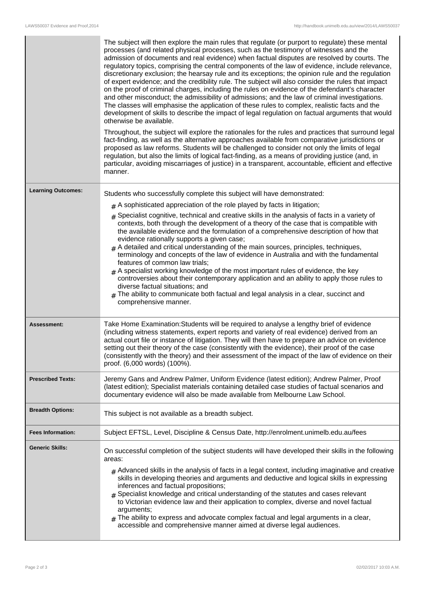|                           | The subject will then explore the main rules that regulate (or purport to regulate) these mental<br>processes (and related physical processes, such as the testimony of witnesses and the<br>admission of documents and real evidence) when factual disputes are resolved by courts. The<br>regulatory topics, comprising the central components of the law of evidence, include relevance,<br>discretionary exclusion; the hearsay rule and its exceptions; the opinion rule and the regulation<br>of expert evidence; and the credibility rule. The subject will also consider the rules that impact<br>on the proof of criminal charges, including the rules on evidence of the defendant's character<br>and other misconduct; the admissibility of admissions; and the law of criminal investigations.<br>The classes will emphasise the application of these rules to complex, realistic facts and the<br>development of skills to describe the impact of legal regulation on factual arguments that would<br>otherwise be available.<br>Throughout, the subject will explore the rationales for the rules and practices that surround legal<br>fact-finding, as well as the alternative approaches available from comparative jurisdictions or<br>proposed as law reforms. Students will be challenged to consider not only the limits of legal<br>regulation, but also the limits of logical fact-finding, as a means of providing justice (and, in<br>particular, avoiding miscarriages of justice) in a transparent, accountable, efficient and effective<br>manner. |
|---------------------------|-------------------------------------------------------------------------------------------------------------------------------------------------------------------------------------------------------------------------------------------------------------------------------------------------------------------------------------------------------------------------------------------------------------------------------------------------------------------------------------------------------------------------------------------------------------------------------------------------------------------------------------------------------------------------------------------------------------------------------------------------------------------------------------------------------------------------------------------------------------------------------------------------------------------------------------------------------------------------------------------------------------------------------------------------------------------------------------------------------------------------------------------------------------------------------------------------------------------------------------------------------------------------------------------------------------------------------------------------------------------------------------------------------------------------------------------------------------------------------------------------------------------------------------------------------------------------------|
| <b>Learning Outcomes:</b> | Students who successfully complete this subject will have demonstrated:                                                                                                                                                                                                                                                                                                                                                                                                                                                                                                                                                                                                                                                                                                                                                                                                                                                                                                                                                                                                                                                                                                                                                                                                                                                                                                                                                                                                                                                                                                       |
|                           | $#$ A sophisticated appreciation of the role played by facts in litigation;                                                                                                                                                                                                                                                                                                                                                                                                                                                                                                                                                                                                                                                                                                                                                                                                                                                                                                                                                                                                                                                                                                                                                                                                                                                                                                                                                                                                                                                                                                   |
|                           | $*$ Specialist cognitive, technical and creative skills in the analysis of facts in a variety of<br>contexts, both through the development of a theory of the case that is compatible with<br>the available evidence and the formulation of a comprehensive description of how that<br>evidence rationally supports a given case;<br>$*$ A detailed and critical understanding of the main sources, principles, techniques,<br>terminology and concepts of the law of evidence in Australia and with the fundamental<br>features of common law trials;<br>$_{\#}$ A specialist working knowledge of the most important rules of evidence, the key<br>controversies about their contemporary application and an ability to apply those rules to<br>diverse factual situations; and<br>$_{\#}$ The ability to communicate both factual and legal analysis in a clear, succinct and<br>comprehensive manner.                                                                                                                                                                                                                                                                                                                                                                                                                                                                                                                                                                                                                                                                     |
| <b>Assessment:</b>        | Take Home Examination: Students will be required to analyse a lengthy brief of evidence<br>(including witness statements, expert reports and variety of real evidence) derived from an<br>actual court file or instance of litigation. They will then have to prepare an advice on evidence<br>setting out their theory of the case (consistently with the evidence), their proof of the case<br>(consistently with the theory) and their assessment of the impact of the law of evidence on their<br>proof. (6,000 words) (100%).                                                                                                                                                                                                                                                                                                                                                                                                                                                                                                                                                                                                                                                                                                                                                                                                                                                                                                                                                                                                                                            |
| <b>Prescribed Texts:</b>  | Jeremy Gans and Andrew Palmer, Uniform Evidence (latest edition); Andrew Palmer, Proof<br>(latest edition); Specialist materials containing detailed case studies of factual scenarios and<br>documentary evidence will also be made available from Melbourne Law School.                                                                                                                                                                                                                                                                                                                                                                                                                                                                                                                                                                                                                                                                                                                                                                                                                                                                                                                                                                                                                                                                                                                                                                                                                                                                                                     |
| <b>Breadth Options:</b>   | This subject is not available as a breadth subject.                                                                                                                                                                                                                                                                                                                                                                                                                                                                                                                                                                                                                                                                                                                                                                                                                                                                                                                                                                                                                                                                                                                                                                                                                                                                                                                                                                                                                                                                                                                           |
| <b>Fees Information:</b>  | Subject EFTSL, Level, Discipline & Census Date, http://enrolment.unimelb.edu.au/fees                                                                                                                                                                                                                                                                                                                                                                                                                                                                                                                                                                                                                                                                                                                                                                                                                                                                                                                                                                                                                                                                                                                                                                                                                                                                                                                                                                                                                                                                                          |
| <b>Generic Skills:</b>    | On successful completion of the subject students will have developed their skills in the following<br>areas:<br>$_{\text{\#}}$ Advanced skills in the analysis of facts in a legal context, including imaginative and creative<br>skills in developing theories and arguments and deductive and logical skills in expressing<br>inferences and factual propositions;<br>$*$ Specialist knowledge and critical understanding of the statutes and cases relevant<br>to Victorian evidence law and their application to complex, diverse and novel factual<br>arguments;<br>$#$ The ability to express and advocate complex factual and legal arguments in a clear,<br>accessible and comprehensive manner aimed at diverse legal audiences.                                                                                                                                                                                                                                                                                                                                                                                                                                                                                                                                                                                                                                                                                                                                                                                                                                     |

I